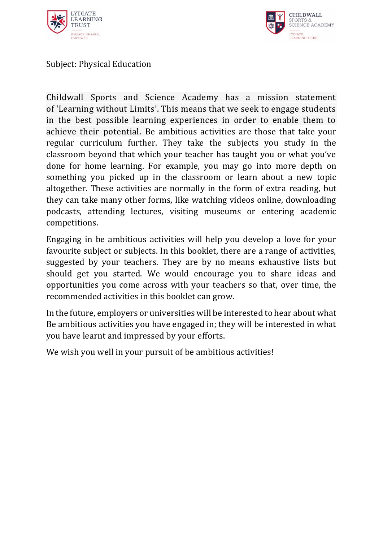



Subject: Physical Education

Childwall Sports and Science Academy has a mission statement of 'Learning without Limits'. This means that we seek to engage students in the best possible learning experiences in order to enable them to achieve their potential. Be ambitious activities are those that take your regular curriculum further. They take the subjects you study in the classroom beyond that which your teacher has taught you or what you've done for home learning. For example, you may go into more depth on something you picked up in the classroom or learn about a new topic altogether. These activities are normally in the form of extra reading, but they can take many other forms, like watching videos online, downloading podcasts, attending lectures, visiting museums or entering academic competitions.

Engaging in be ambitious activities will help you develop a love for your favourite subject or subjects. In this booklet, there are a range of activities, suggested by your teachers. They are by no means exhaustive lists but should get you started. We would encourage you to share ideas and opportunities you come across with your teachers so that, over time, the recommended activities in this booklet can grow.

In the future, employers or universities will be interested to hear about what Be ambitious activities you have engaged in; they will be interested in what you have learnt and impressed by your efforts.

We wish you well in your pursuit of be ambitious activities!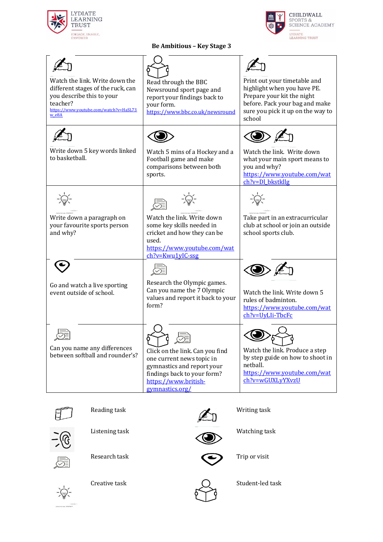



## **Be Ambitious – Key Stage 3**

| Watch the link. Write down the<br>different stages of the ruck, can<br>you describe this to your<br>teacher?<br>https://www.youtube.com/watch?v=HaSL73<br>w e8A | Read through the BBC<br>Newsround sport page and<br>report your findings back to<br>your form.<br>https://www.bbc.co.uk/newsround                                    | Print out your timetable and<br>highlight when you have PE.<br>Prepare your kit the night<br>before. Pack your bag and make<br>sure you pick it up on the way to<br>school |
|-----------------------------------------------------------------------------------------------------------------------------------------------------------------|----------------------------------------------------------------------------------------------------------------------------------------------------------------------|----------------------------------------------------------------------------------------------------------------------------------------------------------------------------|
| Write down 5 key words linked<br>to basketball.                                                                                                                 | Watch 5 mins of a Hockey and a<br>Football game and make<br>comparisons between both<br>sports.                                                                      | Watch the link. Write down<br>what your main sport means to<br>you and why?<br>https://www.youtube.com/wat<br>$ch?v = D1$ bkstkllg                                         |
| Write down a paragraph on<br>your favourite sports person<br>and why?                                                                                           | Watch the link. Write down<br>some key skills needed in<br>cricket and how they can be<br>used.<br>https://www.youtube.com/wat<br>ch?v=Kwu1yIC-ssg                   | Take part in an extracurricular<br>club at school or join an outside<br>school sports club.                                                                                |
| Go and watch a live sporting<br>event outside of school.                                                                                                        | Research the Olympic games.<br>Can you name the 7 Olympic<br>values and report it back to your<br>form?                                                              | Watch the link. Write down 5<br>rules of badminton.<br>https://www.youtube.com/wat<br>ch?v=UyLIi-TbcFc                                                                     |
| Can you name any differences<br>between softball and rounder's?                                                                                                 | Click on the link. Can you find<br>one current news topic in<br>gymnastics and report your<br>findings back to your form?<br>https://www.british-<br>gymnastics.org/ | Watch the link. Produce a step<br>by step guide on how to shoot in<br>netball.<br>https://www.youtube.com/wat<br>ch?v=wGUXLyYXyzU                                          |





Listening task Watching task





Research task Trip or visit







Creative task  $\bigcap$  Student-led task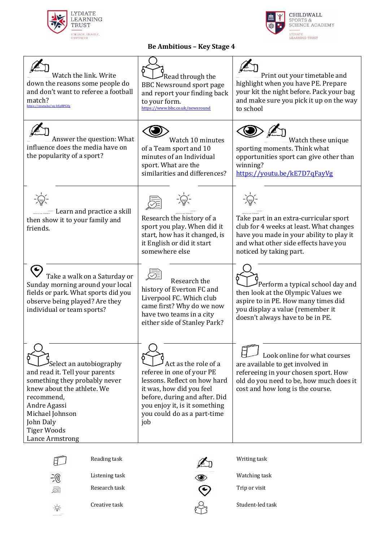



## **Be Ambitious – Key Stage 4**

| Watch the link, Write<br>down the reasons some people do<br>and don't want to referee a football<br>match?<br>https://youtu.be/vq-bSpRPGFg                                                                                      | Read through the<br><b>BBC Newsround sport page</b><br>and report your finding back<br>to your form.<br>https://www.bbc.co.uk/newsround                                                                               | Print out your timetable and<br>highlight when you have PE. Prepare<br>your kit the night before. Pack your bag<br>and make sure you pick it up on the way<br>to school                          |
|---------------------------------------------------------------------------------------------------------------------------------------------------------------------------------------------------------------------------------|-----------------------------------------------------------------------------------------------------------------------------------------------------------------------------------------------------------------------|--------------------------------------------------------------------------------------------------------------------------------------------------------------------------------------------------|
| Answer the question: What<br>influence does the media have on<br>the popularity of a sport?                                                                                                                                     | Watch 10 minutes<br>of a Team sport and 10<br>minutes of an Individual<br>sport. What are the<br>similarities and differences?                                                                                        | Watch these unique<br>sporting moments. Think what<br>opportunities sport can give other than<br>winning?<br>https://youtu.be/kE7D7qFayVg                                                        |
| Learn and practice a skill<br>then show it to your family and<br>friends.                                                                                                                                                       | Research the history of a<br>sport you play. When did it<br>start, how has it changed, is<br>it English or did it start<br>somewhere else                                                                             | Take part in an extra-curricular sport<br>club for 4 weeks at least. What changes<br>have you made in your ability to play it<br>and what other side effects have you<br>noticed by taking part. |
| Take a walk on a Saturday or<br>Sunday morning around your local<br>fields or park. What sports did you<br>observe being played? Are they<br>individual or team sports?                                                         | Research the<br>history of Everton FC and<br>Liverpool FC. Which club<br>came first? Why do we now<br>have two teams in a city<br>either side of Stanley Park?                                                        | Perform a typical school day and<br>then look at the Olympic Values we<br>aspire to in PE. How many times did<br>you display a value (remember it<br>doesn't always have to be in PE.            |
| Select an autobiography<br>and read it. Tell your parents<br>something they probably never<br>knew about the athlete. We<br>recommend,<br>Andre Agassi<br>Michael Johnson<br>John Daly<br><b>Tiger Woods</b><br>Lance Armstrong | Act as the role of a<br>referee in one of your PE<br>lessons. Reflect on how hard<br>it was, how did you feel<br>before, during and after. Did<br>you enjoy it, is it something<br>you could do as a part-time<br>job | Look online for what courses<br>are available to get involved in<br>refereeing in your chosen sport. How<br>old do you need to be, how much does it<br>cost and how long is the course.          |



2

 $\frac{1}{\sqrt{2}}\sum_{i=1}^{n}$ 





Listening task Watching task

Research task  $\qquad \qquad \bullet$  Trip or visit

Creative task  $\mathcal{Q}_1$  Student-led task